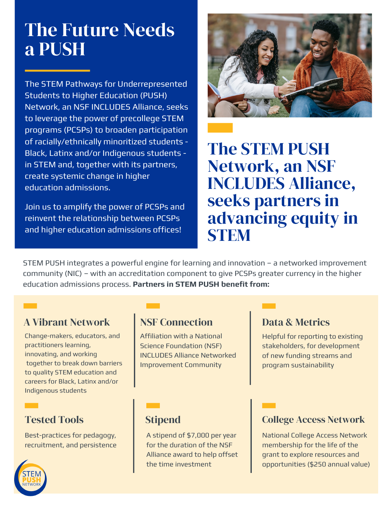# The Future Needs a PUSH

The STEM Pathways for Underrepresented Students to Higher Education (PUSH) Network, an NSF INCLUDES Alliance, seeks to leverage the power of precollege STEM programs (PCSPs) to broaden participation of racially/ethnically minoritized students - Black, Latinx and/or Indigenous students in STEM and, together with its partners, create systemic change in higher education admissions.

Join us to amplify the power of PCSPs and reinvent the relationship between PCSPs and higher education admissions offices!



The STEM PUSH Network, an NSF INCLUDES Alliance, seeks partners in advancing equity in **STEM** 

STEM PUSH integrates a powerful engine for learning and innovation – a networked improvement community (NIC) – with an accreditation component to give PCSPs greater currency in the higher education admissions process. **Partners in STEM PUSH benefit from:**

#### A Vibrant Network

Change-makers, educators, and practitioners learning, innovating, and working together to break down barriers to quality STEM education and careers for Black, Latinx and/or Indigenous students

## Tested Tools

Best-practices for pedagogy, recruitment, and persistence

## NSF Connection

Affiliation with a National Science Foundation (NSF) INCLUDES Alliance Networked Improvement Community

#### Data & Metrics

Helpful for reporting to existing stakeholders, for development of new funding streams and program sustainability

### **Stipend**

A stipend of \$7,000 per year for the duration of the NSF Alliance award to help offset the time investment

#### College Access Network

National College Access Network membership for the life of the grant to explore resources and opportunities (\$250 annual value)